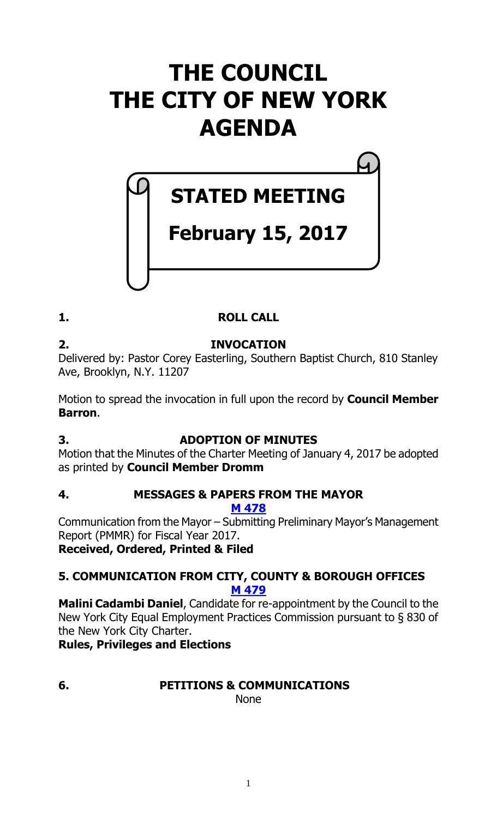# **THE COUNCIL THE CITY OF NEW YORK AGENDA**

# **STATED MEETING**

# **February 15, 2017**

# **1. ROLL CALL**

#### **2. INVOCATION** Delivered by: Pastor Corey Easterling, Southern Baptist Church, 810 Stanley Ave, Brooklyn, N.Y. 11207

Motion to spread the invocation in full upon the record by **Council Member Barron**.

# **3. ADOPTION OF MINUTES**

Motion that the Minutes of the Charter Meeting of January 4, 2017 be adopted as printed by **Council Member Dromm**

# **4. MESSAGES & PAPERS FROM THE MAYOR**

**M [478](http://legistar.council.nyc.gov/LegislationDetail.aspx?ID=2961240&GUID=88F29626-488E-4056-AD65-DDE702CFBA90&Options=ID%7c&Search=)**

Communication from the Mayor – Submitting Preliminary Mayor's Management Report (PMMR) for Fiscal Year 2017.

# **Received, Ordered, Printed & Filed**

# **5. COMMUNICATION FROM CITY, COUNTY & BOROUGH OFFICES M [479](http://legistar.council.nyc.gov/LegislationDetail.aspx?ID=2954471&GUID=5C75C93E-9A5C-4ADF-8522-7D2CD28BC609&Options=ID|&Search=)**

**Malini Cadambi Daniel**, Candidate for re-appointment by the Council to the New York City Equal Employment Practices Commission pursuant to § 830 of the New York City Charter.

# **Rules, Privileges and Elections**

# **6. PETITIONS & COMMUNICATIONS**

None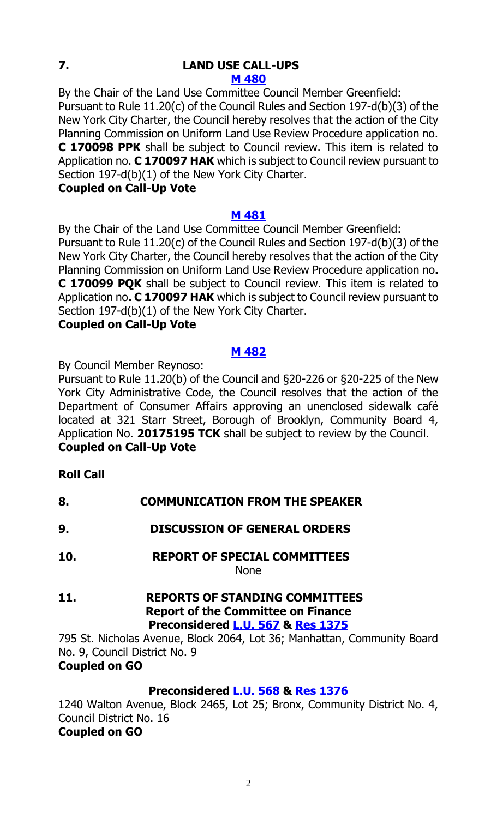# **7. LAND USE CALL-UPS**

#### **M [480](http://legistar.council.nyc.gov/LegislationDetail.aspx?ID=2961243&GUID=11CD8085-DC0F-45AA-8C2E-B8621A639D24&Options=ID|&Search=)**

By the Chair of the Land Use Committee Council Member Greenfield: Pursuant to Rule 11.20(c) of the Council Rules and Section 197-d(b)(3) of the New York City Charter, the Council hereby resolves that the action of the City Planning Commission on Uniform Land Use Review Procedure application no. **C 170098 PPK** shall be subject to Council review. This item is related to Application no. **C 170097 HAK** which is subject to Council review pursuant to Section 197-d(b)(1) of the New York City Charter.

# **Coupled on Call-Up Vote**

# **M [481](http://legistar.council.nyc.gov/LegislationDetail.aspx?ID=2961244&GUID=B7A04DF8-D6D6-4E18-836E-190F5BCCC256&Options=ID|&Search=)**

By the Chair of the Land Use Committee Council Member Greenfield: Pursuant to Rule 11.20(c) of the Council Rules and Section 197-d(b)(3) of the New York City Charter, the Council hereby resolves that the action of the City Planning Commission on Uniform Land Use Review Procedure application no**. C 170099 PQK** shall be subject to Council review. This item is related to Application no**. C 170097 HAK** which is subject to Council review pursuant to Section 197-d(b)(1) of the New York City Charter. **Coupled on Call-Up Vote**

# **M [482](http://legistar.council.nyc.gov/LegislationDetail.aspx?ID=2961245&GUID=E508ACEE-86A5-43BA-9EB2-C6346E43E899&Options=ID|&Search=)**

By Council Member Reynoso:

Pursuant to Rule 11.20(b) of the Council and §20-226 or §20-225 of the New York City Administrative Code, the Council resolves that the action of the Department of Consumer Affairs approving an unenclosed sidewalk café located at 321 Starr Street, Borough of Brooklyn, Community Board 4, Application No. **20175195 TCK** shall be subject to review by the Council. **Coupled on Call-Up Vote**

# **Roll Call**

- **8. COMMUNICATION FROM THE SPEAKER**
- **9. DISCUSSION OF GENERAL ORDERS**
- **10. REPORT OF SPECIAL COMMITTEES** None
- **11. REPORTS OF STANDING COMMITTEES Report of the Committee on Finance Preconsidered [L.U.](http://legistar.council.nyc.gov/LegislationDetail.aspx?ID=2955091&GUID=2197BDBC-6671-44E6-9B00-5777167ADBCA&Options=ID%7c&Search=) 567 & Res [1375](http://legistar.council.nyc.gov/LegislationDetail.aspx?ID=2961241&GUID=DDAA522A-B64F-4188-B3F1-28097F351105&Options=ID%7c&Search=)**

795 St. Nicholas Avenue, Block 2064, Lot 36; Manhattan, Community Board No. 9, Council District No. 9

# **Coupled on GO**

# **Preconsidered [L.U.](http://legistar.council.nyc.gov/LegislationDetail.aspx?ID=2955102&GUID=B94F43C7-9702-4E4A-8C36-DCECB7F6A866&Options=ID|&Search=) 568 & Res [1376](http://legistar.council.nyc.gov/LegislationDetail.aspx?ID=2961242&GUID=94CEC668-F7A2-4C32-92C6-45453A8B637E&Options=ID|&Search=)**

1240 Walton Avenue, Block 2465, Lot 25; Bronx, Community District No. 4, Council District No. 16

# **Coupled on GO**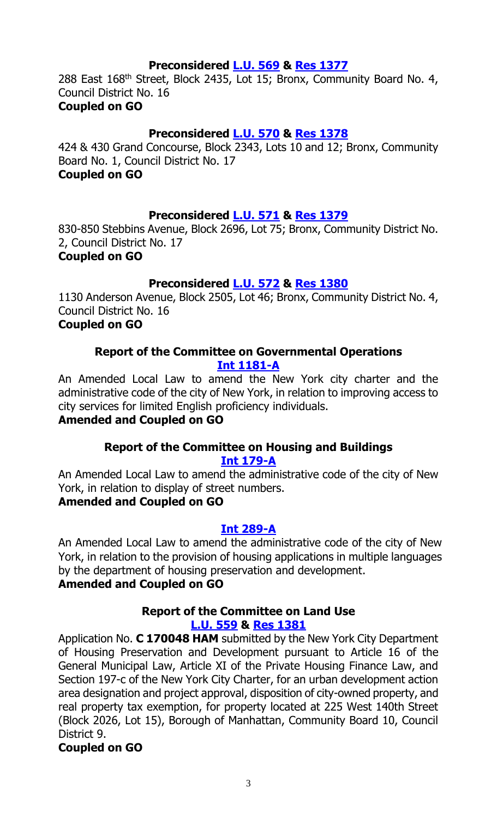# **Preconsidered [L.U.](http://legistar.council.nyc.gov/LegislationDetail.aspx?ID=2955434&GUID=28268425-9A17-4908-8759-9D8863111631&Options=ID|&Search=) 569 & Res [1377](http://legistar.council.nyc.gov/LegislationDetail.aspx?ID=2961248&GUID=683F867C-41B7-49C0-9433-5909E4428288&Options=ID|&Search=)**

288 East 168th Street, Block 2435, Lot 15; Bronx, Community Board No. 4, Council District No. 16

#### **Coupled on GO**

# **Preconsidered [L.U.](http://legistar.council.nyc.gov/LegislationDetail.aspx?ID=2955438&GUID=3CBB3ECE-F3DF-4FF9-BAD4-F41059A9B217&Options=ID|&Search=) 570 & Res [1378](http://legistar.council.nyc.gov/LegislationDetail.aspx?ID=2961249&GUID=D5272132-ACA2-4EA9-B6EB-40B057C324D9&Options=ID|&Search=)**

424 & 430 Grand Concourse, Block 2343, Lots 10 and 12; Bronx, Community Board No. 1, Council District No. 17

# **Coupled on GO**

# **Preconsidered [L.U.](http://legistar.council.nyc.gov/LegislationDetail.aspx?ID=2955450&GUID=6E78B4EC-815B-4AA7-B624-DA3FDAE07369&Options=ID|&Search=) 571 & Res [1379](http://legistar.council.nyc.gov/LegislationDetail.aspx?ID=2961256&GUID=CE28A508-A869-456E-8EFE-75C21BEDD4B3&Options=ID|&Search=)**

830-850 Stebbins Avenue, Block 2696, Lot 75; Bronx, Community District No. 2, Council District No. 17 **Coupled on GO**

#### **Preconsidered [L.U.](http://legistar.council.nyc.gov/LegislationDetail.aspx?ID=2955451&GUID=373417AF-AB2D-4086-9434-D1B679DF9404&Options=ID|&Search=) 572 & Res [1380](http://legistar.council.nyc.gov/LegislationDetail.aspx?ID=2961264&GUID=6CECD8BF-479C-48B4-9DB0-A9F004BB1DCE&Options=ID|&Search=)**

1130 Anderson Avenue, Block 2505, Lot 46; Bronx, Community District No. 4, Council District No. 16

# **Coupled on GO**

# **Report of the Committee on Governmental Operations [Int 1181-A](http://legistar.council.nyc.gov/LegislationDetail.aspx?ID=2735477&GUID=D0A0ECA1-4D71-47EB-B44D-5919777ED818&Options=Advanced&Search=)**

An Amended Local Law to amend the New York city charter and the administrative code of the city of New York, in relation to improving access to city services for limited English proficiency individuals.

# **Amended and Coupled on GO**

# **Report of the Committee on Housing and Buildings [Int 179-A](http://legistar.council.nyc.gov/LegislationDetail.aspx?ID=1681121&GUID=1F039AC9-4CB9-490D-9FF7-37BBCA4CC654&Options=Advanced&Search=)**

An Amended Local Law to amend the administrative code of the city of New York, in relation to display of street numbers.

# **Amended and Coupled on GO**

# **[Int 289-A](http://legistar.council.nyc.gov/LegislationDetail.aspx?ID=1739347&GUID=226CEBB6-88B7-4CF2-B330-D4CCA568D73C&Options=Advanced&Search=)**

An Amended Local Law to amend the administrative code of the city of New York, in relation to the provision of housing applications in multiple languages by the department of housing preservation and development.

# **Amended and Coupled on GO**

# **Report of the Committee on Land Use [L.U. 559](http://legistar.council.nyc.gov/LegislationDetail.aspx?ID=2949882&GUID=E3AEC267-C6EE-4711-99AF-F1BAE03FD001&Options=Advanced&Search=) & Res [1381](http://legistar.council.nyc.gov/LegislationDetail.aspx?ID=2960645&GUID=476C217B-5B4D-456B-8B98-2C12E44DA9A9&Options=ID|&Search=)**

Application No. **C 170048 HAM** submitted by the New York City Department of Housing Preservation and Development pursuant to Article 16 of the General Municipal Law, Article XI of the Private Housing Finance Law, and Section 197-c of the New York City Charter, for an urban development action area designation and project approval, disposition of city-owned property, and real property tax exemption, for property located at 225 West 140th Street (Block 2026, Lot 15), Borough of Manhattan, Community Board 10, Council District 9.

# **Coupled on GO**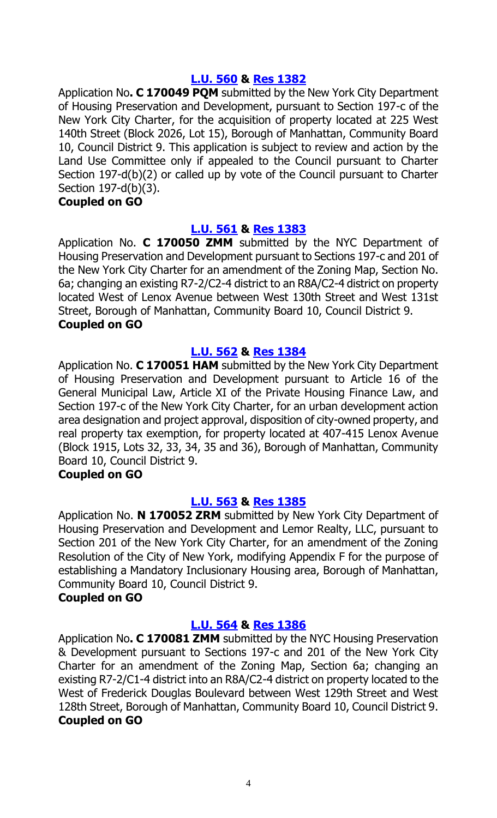#### **[L.U. 560](http://legistar.council.nyc.gov/LegislationDetail.aspx?ID=2949883&GUID=94CA2047-6BC5-4E2C-9821-52CB962B4C50&Options=Advanced&Search=) & Res [1382](http://legistar.council.nyc.gov/LegislationDetail.aspx?ID=2960646&GUID=3F7E067B-2F3A-45A0-95A7-21F6D3DBD54F&Options=ID|&Search=)**

Application No**. C 170049 PQM** submitted by the New York City Department of Housing Preservation and Development, pursuant to Section 197-c of the New York City Charter, for the acquisition of property located at 225 West 140th Street (Block 2026, Lot 15), Borough of Manhattan, Community Board 10, Council District 9. This application is subject to review and action by the Land Use Committee only if appealed to the Council pursuant to Charter Section 197-d(b)(2) or called up by vote of the Council pursuant to Charter Section 197-d(b)(3).

#### **Coupled on GO**

# **[L.U. 561](http://legistar.council.nyc.gov/LegislationDetail.aspx?ID=2949885&GUID=BCED72FE-1D85-47BE-A4A5-9E399F13AA5B&Options=Advanced&Search=) & Res [1383](http://legistar.council.nyc.gov/LegislationDetail.aspx?ID=2960647&GUID=8852EDE5-7B24-404B-9974-83E249121059&Options=ID|&Search=)**

Application No. **C 170050 ZMM** submitted by the NYC Department of Housing Preservation and Development pursuant to Sections 197-c and 201 of the New York City Charter for an amendment of the Zoning Map, Section No. 6a; changing an existing R7-2/C2-4 district to an R8A/C2-4 district on property located West of Lenox Avenue between West 130th Street and West 131st Street, Borough of Manhattan, Community Board 10, Council District 9. **Coupled on GO**

#### **[L.U. 562](http://legistar.council.nyc.gov/LegislationDetail.aspx?ID=2949884&GUID=01241922-5FB9-4C4E-B422-258AB359F58E&Options=Advanced&Search=) & Res [1384](http://legistar.council.nyc.gov/LegislationDetail.aspx?ID=2960648&GUID=A1DF2997-FF06-44A1-AD22-F91A1D6142D3&Options=ID|&Search=)**

Application No. **C 170051 HAM** submitted by the New York City Department of Housing Preservation and Development pursuant to Article 16 of the General Municipal Law, Article XI of the Private Housing Finance Law, and Section 197-c of the New York City Charter, for an urban development action area designation and project approval, disposition of city-owned property, and real property tax exemption, for property located at 407-415 Lenox Avenue (Block 1915, Lots 32, 33, 34, 35 and 36), Borough of Manhattan, Community Board 10, Council District 9.

# **Coupled on GO**

# **[L.U. 563](http://legistar.council.nyc.gov/LegislationDetail.aspx?ID=2949886&GUID=D6449588-9944-47A8-A6A0-4C638818B6E5&Options=Advanced&Search=) & Res [1385](http://legistar.council.nyc.gov/LegislationDetail.aspx?ID=2960649&GUID=82080EA3-4B36-498A-B6C4-4DECAB0B2C7E&Options=ID|&Search=)**

Application No. **N 170052 ZRM** submitted by New York City Department of Housing Preservation and Development and Lemor Realty, LLC, pursuant to Section 201 of the New York City Charter, for an amendment of the Zoning Resolution of the City of New York, modifying Appendix F for the purpose of establishing a Mandatory Inclusionary Housing area, Borough of Manhattan, Community Board 10, Council District 9.

#### **Coupled on GO**

# **[L.U. 564](http://legistar.council.nyc.gov/LegislationDetail.aspx?ID=2949887&GUID=8A56A1D3-93E2-4F31-8615-6E9F61D0BDB5&Options=Advanced&Search=) & Res [1386](http://legistar.council.nyc.gov/LegislationDetail.aspx?ID=2960650&GUID=AF01D9C3-4C91-47EB-BA81-0AF6059BE3F1&Options=ID|&Search=)**

Application No**. C 170081 ZMM** submitted by the NYC Housing Preservation & Development pursuant to Sections 197-c and 201 of the New York City Charter for an amendment of the Zoning Map, Section 6a; changing an existing R7-2/C1-4 district into an R8A/C2-4 district on property located to the West of Frederick Douglas Boulevard between West 129th Street and West 128th Street, Borough of Manhattan, Community Board 10, Council District 9. **Coupled on GO**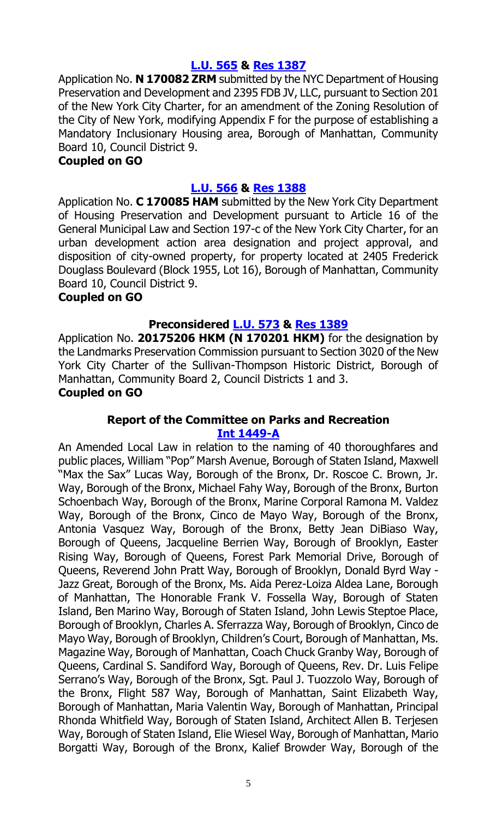# **[L.U. 565](http://legistar.council.nyc.gov/LegislationDetail.aspx?ID=2949888&GUID=59EB2374-388A-4099-B3FF-2935870C0169&Options=Advanced&Search=) & Res [1387](http://legistar.council.nyc.gov/LegislationDetail.aspx?ID=2960651&GUID=3140F669-7265-4AEC-A067-CF170CBD589F&Options=ID|&Search=)**

Application No. **N 170082 ZRM** submitted by the NYC Department of Housing Preservation and Development and 2395 FDB JV, LLC, pursuant to Section 201 of the New York City Charter, for an amendment of the Zoning Resolution of the City of New York, modifying Appendix F for the purpose of establishing a Mandatory Inclusionary Housing area, Borough of Manhattan, Community Board 10, Council District 9.

#### **Coupled on GO**

# **[L.U. 566](http://legistar.council.nyc.gov/LegislationDetail.aspx?ID=2949889&GUID=D42CDFBC-BC0A-4574-BCA4-2932F271114E&Options=Advanced&Search=) & Res [1388](http://legistar.council.nyc.gov/LegislationDetail.aspx?ID=2960652&GUID=2DF82FBF-77EB-4588-BC4F-1EF0B94AE69F&Options=ID|&Search=)**

Application No. **C 170085 HAM** submitted by the New York City Department of Housing Preservation and Development pursuant to Article 16 of the General Municipal Law and Section 197-c of the New York City Charter, for an urban development action area designation and project approval, and disposition of city-owned property, for property located at 2405 Frederick Douglass Boulevard (Block 1955, Lot 16), Borough of Manhattan, Community Board 10, Council District 9.

#### **Coupled on GO**

# **Preconsidered [L.U. 573](http://legistar.council.nyc.gov/LegislationDetail.aspx?ID=2951191&GUID=D69231A9-FE01-4FF8-B307-E25D1F94206B&Options=ID|&Search=) & Res [1389](http://legistar.council.nyc.gov/LegislationDetail.aspx?ID=2960644&GUID=22A49463-B898-468F-9BFE-DDECFB500739&Options=ID|&Search=)**

Application No. **20175206 HKM (N 170201 HKM)** for the designation by the Landmarks Preservation Commission pursuant to Section 3020 of the New York City Charter of the Sullivan-Thompson Historic District, Borough of Manhattan, Community Board 2, Council Districts 1 and 3. **Coupled on GO**

# **Report of the Committee on Parks and Recreation [Int 1449-A](http://legistar.council.nyc.gov/LegislationDetail.aspx?ID=2949755&GUID=D3F1EE14-DDAF-4C13-AB97-8C58BFFCA43C&Options=Advanced&Search=)**

An Amended Local Law in relation to the naming of 40 thoroughfares and public places, William "Pop" Marsh Avenue, Borough of Staten Island, Maxwell "Max the Sax" Lucas Way, Borough of the Bronx, Dr. Roscoe C. Brown, Jr. Way, Borough of the Bronx, Michael Fahy Way, Borough of the Bronx, Burton Schoenbach Way, Borough of the Bronx, Marine Corporal Ramona M. Valdez Way, Borough of the Bronx, Cinco de Mayo Way, Borough of the Bronx, Antonia Vasquez Way, Borough of the Bronx, Betty Jean DiBiaso Way, Borough of Queens, Jacqueline Berrien Way, Borough of Brooklyn, Easter Rising Way, Borough of Queens, Forest Park Memorial Drive, Borough of Queens, Reverend John Pratt Way, Borough of Brooklyn, Donald Byrd Way - Jazz Great, Borough of the Bronx, Ms. Aida Perez-Loiza Aldea Lane, Borough of Manhattan, The Honorable Frank V. Fossella Way, Borough of Staten Island, Ben Marino Way, Borough of Staten Island, John Lewis Steptoe Place, Borough of Brooklyn, Charles A. Sferrazza Way, Borough of Brooklyn, Cinco de Mayo Way, Borough of Brooklyn, Children's Court, Borough of Manhattan, Ms. Magazine Way, Borough of Manhattan, Coach Chuck Granby Way, Borough of Queens, Cardinal S. Sandiford Way, Borough of Queens, Rev. Dr. Luis Felipe Serrano's Way, Borough of the Bronx, Sgt. Paul J. Tuozzolo Way, Borough of the Bronx, Flight 587 Way, Borough of Manhattan, Saint Elizabeth Way, Borough of Manhattan, Maria Valentin Way, Borough of Manhattan, Principal Rhonda Whitfield Way, Borough of Staten Island, Architect Allen B. Terjesen Way, Borough of Staten Island, Elie Wiesel Way, Borough of Manhattan, Mario Borgatti Way, Borough of the Bronx, Kalief Browder Way, Borough of the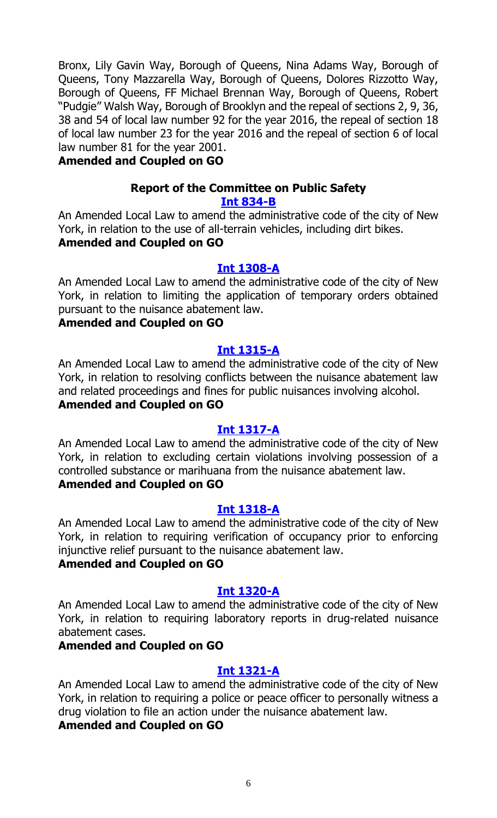Bronx, Lily Gavin Way, Borough of Queens, Nina Adams Way, Borough of Queens, Tony Mazzarella Way, Borough of Queens, Dolores Rizzotto Way, Borough of Queens, FF Michael Brennan Way, Borough of Queens, Robert "Pudgie" Walsh Way, Borough of Brooklyn and the repeal of sections 2, 9, 36, 38 and 54 of local law number 92 for the year 2016, the repeal of section 18 of local law number 23 for the year 2016 and the repeal of section 6 of local law number 81 for the year 2001.

#### **Amended and Coupled on GO**

# **Report of the Committee on Public Safety**

# **[Int 834-B](http://legistar.council.nyc.gov/LegislationDetail.aspx?ID=2364099&GUID=9334AA95-FA03-45A0-9814-2655801F4626&Options=Advanced&Search=)**

An Amended Local Law to amend the administrative code of the city of New York, in relation to the use of all-terrain vehicles, including dirt bikes. **Amended and Coupled on GO**

#### **[Int 1308-A](http://legistar.council.nyc.gov/LegislationDetail.aspx?ID=2862674&GUID=6DE83438-F8AC-4D23-B5A7-7F9CBD449924&Options=Advanced&Search=)**

An Amended Local Law to amend the administrative code of the city of New York, in relation to limiting the application of temporary orders obtained pursuant to the nuisance abatement law.

#### **Amended and Coupled on GO**

#### **[Int 1315-A](http://legistar.council.nyc.gov/LegislationDetail.aspx?ID=2862671&GUID=908D71B6-32DE-40C4-ACFB-AC8CD6E03FCC&Options=Advanced&Search=)**

An Amended Local Law to amend the administrative code of the city of New York, in relation to resolving conflicts between the nuisance abatement law and related proceedings and fines for public nuisances involving alcohol. **Amended and Coupled on GO**

#### **[Int 1317-A](http://legistar.council.nyc.gov/LegislationDetail.aspx?ID=2862673&GUID=2A04DCED-D129-4D86-B1C1-8AF19A92141F&Options=Advanced&Search=)**

An Amended Local Law to amend the administrative code of the city of New York, in relation to excluding certain violations involving possession of a controlled substance or marihuana from the nuisance abatement law. **Amended and Coupled on GO**

#### **Int [1318-A](http://legistar.council.nyc.gov/LegislationDetail.aspx?ID=2862685&GUID=8C3945F4-7C06-484B-83AA-ED6F78ED006B&Options=Advanced&Search=)**

An Amended Local Law to amend the administrative code of the city of New York, in relation to requiring verification of occupancy prior to enforcing injunctive relief pursuant to the nuisance abatement law.

# **Amended and Coupled on GO**

#### **[Int 1320-A](http://legistar.council.nyc.gov/LegislationDetail.aspx?ID=2862672&GUID=633912C4-A45B-4C60-9EEB-5CF8D8214D6A&Options=Advanced&Search=)**

An Amended Local Law to amend the administrative code of the city of New York, in relation to requiring laboratory reports in drug-related nuisance abatement cases.

#### **Amended and Coupled on GO**

#### **[Int 1321-A](http://legistar.council.nyc.gov/LegislationDetail.aspx?ID=2862678&GUID=B45A821B-E369-4C4D-88F9-29929AFAB095&Options=Advanced&Search=)**

An Amended Local Law to amend the administrative code of the city of New York, in relation to requiring a police or peace officer to personally witness a drug violation to file an action under the nuisance abatement law.

# **Amended and Coupled on GO**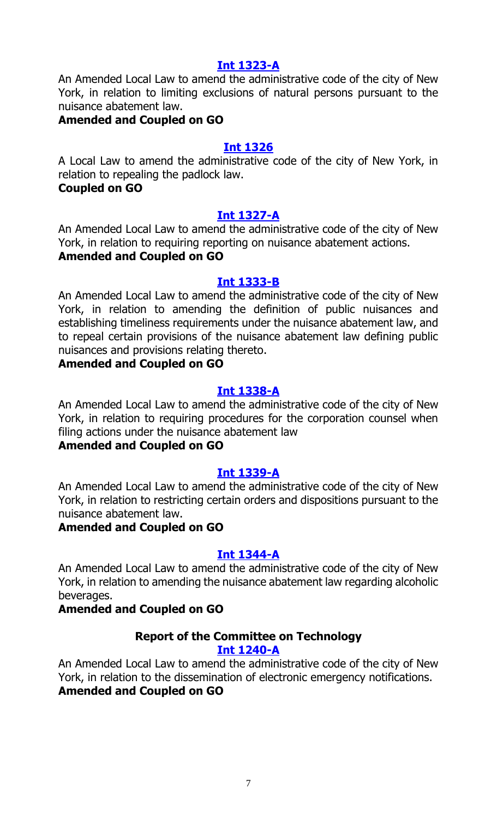#### **[Int 1323-A](http://legistar.council.nyc.gov/LegislationDetail.aspx?ID=2862675&GUID=C9CDD7D5-EF66-4C4B-9126-B6BD9A6B2C6B&Options=Advanced&Search=)**

An Amended Local Law to amend the administrative code of the city of New York, in relation to limiting exclusions of natural persons pursuant to the nuisance abatement law.

#### **Amended and Coupled on GO**

#### **[Int 1326](http://legistar.council.nyc.gov/LegislationDetail.aspx?ID=2862676&GUID=01C4299A-831E-4AC5-8BA2-78CFF891D3A5&Options=Advanced&Search=)**

A Local Law to amend the administrative code of the city of New York, in relation to repealing the padlock law.

# **Coupled on GO**

# **[Int 1327-A](http://legistar.council.nyc.gov/LegislationDetail.aspx?ID=2862679&GUID=E5D8619D-590C-4817-A750-69E621117649&Options=Advanced&Search=)**

An Amended Local Law to amend the administrative code of the city of New York, in relation to requiring reporting on nuisance abatement actions. **Amended and Coupled on GO**

#### **[Int 1333-B](http://legistar.council.nyc.gov/LegislationDetail.aspx?ID=2862684&GUID=794FA984-D7AA-40DC-A3B1-3A9E6CEA4696&Options=Advanced&Search=)**

An Amended Local Law to amend the administrative code of the city of New York, in relation to amending the definition of public nuisances and establishing timeliness requirements under the nuisance abatement law, and to repeal certain provisions of the nuisance abatement law defining public nuisances and provisions relating thereto.

# **Amended and Coupled on GO**

# **[Int 1338-A](http://legistar.council.nyc.gov/LegislationDetail.aspx?ID=2862677&GUID=D6F35244-5569-4737-A215-B67872C3ECB6&Options=Advanced&Search=)**

An Amended Local Law to amend the administrative code of the city of New York, in relation to requiring procedures for the corporation counsel when filing actions under the nuisance abatement law

# **Amended and Coupled on GO**

#### **[Int 1339-A](http://legistar.council.nyc.gov/LegislationDetail.aspx?ID=2862680&GUID=9B98BB91-81A2-4951-AC81-8863F4B47800&Options=Advanced&Search=)**

An Amended Local Law to amend the administrative code of the city of New York, in relation to restricting certain orders and dispositions pursuant to the nuisance abatement law.

# **Amended and Coupled on GO**

#### **[Int 1344-A](http://legistar.council.nyc.gov/LegislationDetail.aspx?ID=2862670&GUID=28DF5FE7-A977-4652-A193-0055EC9322E5&Options=Advanced&Search=)**

An Amended Local Law to amend the administrative code of the city of New York, in relation to amending the nuisance abatement law regarding alcoholic beverages.

# **Amended and Coupled on GO**

#### **Report of the Committee on Technology [Int 1240-A](http://legistar.council.nyc.gov/LegislationDetail.aspx?ID=2813491&GUID=6CE421E4-2172-4096-8A7F-24B358104731&Options=Advanced&Search=)**

An Amended Local Law to amend the administrative code of the city of New York, in relation to the dissemination of electronic emergency notifications. **Amended and Coupled on GO**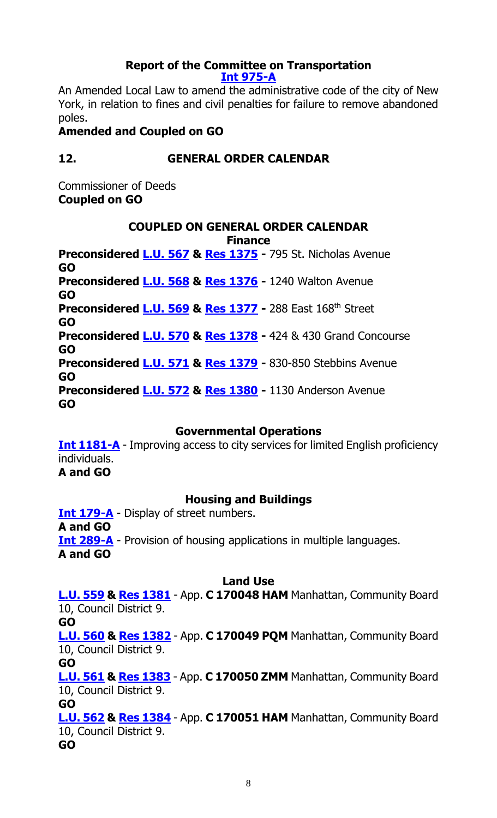#### **Report of the Committee on Transportation [Int 975-A](http://legistar.council.nyc.gov/LegislationDetail.aspx?ID=2505961&GUID=3681BF40-CEBC-45B2-84DD-BF8D2D612D42&Options=Advanced&Search=)**

An Amended Local Law to amend the administrative code of the city of New York, in relation to fines and civil penalties for failure to remove abandoned poles.

# **Amended and Coupled on GO**

# **12. GENERAL ORDER CALENDAR**

Commissioner of Deeds **Coupled on GO**

# **COUPLED ON GENERAL ORDER CALENDAR**

**Finance**

**Preconsidered [L.U.](http://legistar.council.nyc.gov/LegislationDetail.aspx?ID=2955091&GUID=2197BDBC-6671-44E6-9B00-5777167ADBCA&Options=ID%7c&Search=) 567 & Res [1375](http://legistar.council.nyc.gov/LegislationDetail.aspx?ID=2961241&GUID=DDAA522A-B64F-4188-B3F1-28097F351105&Options=ID%7c&Search=) -** 795 St. Nicholas Avenue **GO Preconsidered [L.U.](http://legistar.council.nyc.gov/LegislationDetail.aspx?ID=2955102&GUID=B94F43C7-9702-4E4A-8C36-DCECB7F6A866&Options=ID|&Search=) 568 & [Res 1376](http://legistar.council.nyc.gov/LegislationDetail.aspx?ID=2961242&GUID=94CEC668-F7A2-4C32-92C6-45453A8B637E&Options=ID|&Search=) -** 1240 Walton Avenue **GO Preconsidered [L.U.](http://legistar.council.nyc.gov/LegislationDetail.aspx?ID=2955434&GUID=28268425-9A17-4908-8759-9D8863111631&Options=ID|&Search=) 569 & [Res 1377](http://legistar.council.nyc.gov/LegislationDetail.aspx?ID=2961248&GUID=683F867C-41B7-49C0-9433-5909E4428288&Options=ID|&Search=) -** 288 East 168th Street **GO Preconsidered [L.U.](http://legistar.council.nyc.gov/LegislationDetail.aspx?ID=2955438&GUID=3CBB3ECE-F3DF-4FF9-BAD4-F41059A9B217&Options=ID|&Search=) 570 & [Res 1378](http://legistar.council.nyc.gov/LegislationDetail.aspx?ID=2961249&GUID=D5272132-ACA2-4EA9-B6EB-40B057C324D9&Options=ID|&Search=) -** 424 & 430 Grand Concourse **GO Preconsidered [L.U.](http://legistar.council.nyc.gov/LegislationDetail.aspx?ID=2955450&GUID=6E78B4EC-815B-4AA7-B624-DA3FDAE07369&Options=ID|&Search=) 571 & [Res 1379](http://legistar.council.nyc.gov/LegislationDetail.aspx?ID=2961256&GUID=CE28A508-A869-456E-8EFE-75C21BEDD4B3&Options=ID|&Search=) -** 830-850 Stebbins Avenue **GO Preconsidered [L.U.](http://legistar.council.nyc.gov/LegislationDetail.aspx?ID=2955451&GUID=373417AF-AB2D-4086-9434-D1B679DF9404&Options=ID|&Search=) 572 & [Res 1380](http://legistar.council.nyc.gov/LegislationDetail.aspx?ID=2961264&GUID=6CECD8BF-479C-48B4-9DB0-A9F004BB1DCE&Options=ID|&Search=) -** 1130 Anderson Avenue **GO**

# **Governmental Operations**

**[Int 1181-A](http://legistar.council.nyc.gov/LegislationDetail.aspx?ID=2735477&GUID=D0A0ECA1-4D71-47EB-B44D-5919777ED818&Options=Advanced&Search=)** - Improving access to city services for limited English proficiency individuals. **A and GO**

# **Housing and Buildings**

**[Int 179-A](http://legistar.council.nyc.gov/LegislationDetail.aspx?ID=1681121&GUID=1F039AC9-4CB9-490D-9FF7-37BBCA4CC654&Options=Advanced&Search=)** - Display of street numbers. **A and GO [Int 289-A](http://legistar.council.nyc.gov/LegislationDetail.aspx?ID=1739347&GUID=226CEBB6-88B7-4CF2-B330-D4CCA568D73C&Options=Advanced&Search=)** - Provision of housing applications in multiple languages. **A and GO**

# **Land Use**

**[L.U. 559](http://legistar.council.nyc.gov/LegislationDetail.aspx?ID=2949882&GUID=E3AEC267-C6EE-4711-99AF-F1BAE03FD001&Options=Advanced&Search=) & Res [1381](http://legistar.council.nyc.gov/LegislationDetail.aspx?ID=2960645&GUID=476C217B-5B4D-456B-8B98-2C12E44DA9A9&Options=ID|&Search=)** - App. **C 170048 HAM** Manhattan, Community Board 10, Council District 9. **GO**

**[L.U. 560](http://legistar.council.nyc.gov/LegislationDetail.aspx?ID=2949883&GUID=94CA2047-6BC5-4E2C-9821-52CB962B4C50&Options=Advanced&Search=) & Res [1382](http://legistar.council.nyc.gov/LegislationDetail.aspx?ID=2960646&GUID=3F7E067B-2F3A-45A0-95A7-21F6D3DBD54F&Options=ID|&Search=)** - App. **C 170049 PQM** Manhattan, Community Board 10, Council District 9. **GO**

**[L.U. 561](http://legistar.council.nyc.gov/LegislationDetail.aspx?ID=2949885&GUID=BCED72FE-1D85-47BE-A4A5-9E399F13AA5B&Options=Advanced&Search=) & Res [1383](http://legistar.council.nyc.gov/LegislationDetail.aspx?ID=2960647&GUID=8852EDE5-7B24-404B-9974-83E249121059&Options=ID|&Search=)** - App. **C 170050 ZMM** Manhattan, Community Board 10, Council District 9.

**GO**

**[L.U. 562](http://legistar.council.nyc.gov/LegislationDetail.aspx?ID=2949884&GUID=01241922-5FB9-4C4E-B422-258AB359F58E&Options=Advanced&Search=) & Res [1384](http://legistar.council.nyc.gov/LegislationDetail.aspx?ID=2960648&GUID=A1DF2997-FF06-44A1-AD22-F91A1D6142D3&Options=ID|&Search=)** - App. **C 170051 HAM** Manhattan, Community Board 10, Council District 9.

**GO**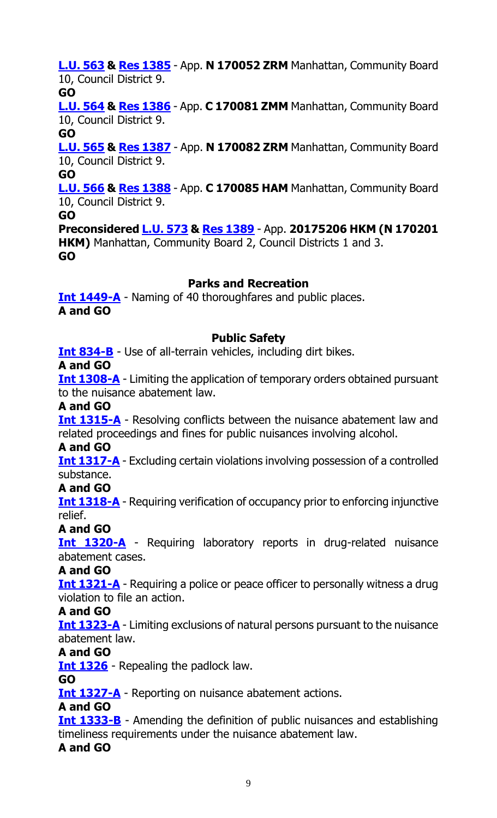**[L.U. 563](http://legistar.council.nyc.gov/LegislationDetail.aspx?ID=2949886&GUID=D6449588-9944-47A8-A6A0-4C638818B6E5&Options=Advanced&Search=) & Res [1385](http://legistar.council.nyc.gov/LegislationDetail.aspx?ID=2960649&GUID=82080EA3-4B36-498A-B6C4-4DECAB0B2C7E&Options=ID|&Search=)** - App. **N 170052 ZRM** Manhattan, Community Board 10, Council District 9.

# **GO**

**[L.U. 564](http://legistar.council.nyc.gov/LegislationDetail.aspx?ID=2949887&GUID=8A56A1D3-93E2-4F31-8615-6E9F61D0BDB5&Options=Advanced&Search=) & Res [1386](http://legistar.council.nyc.gov/LegislationDetail.aspx?ID=2960650&GUID=AF01D9C3-4C91-47EB-BA81-0AF6059BE3F1&Options=ID|&Search=)** - App. **C 170081 ZMM** Manhattan, Community Board 10, Council District 9.

# **GO**

**[L.U. 565](http://legistar.council.nyc.gov/LegislationDetail.aspx?ID=2949888&GUID=59EB2374-388A-4099-B3FF-2935870C0169&Options=Advanced&Search=) & Res [1387](http://legistar.council.nyc.gov/LegislationDetail.aspx?ID=2960651&GUID=3140F669-7265-4AEC-A067-CF170CBD589F&Options=ID|&Search=)** - App. **N 170082 ZRM** Manhattan, Community Board 10, Council District 9.

**GO**

**[L.U. 566](http://legistar.council.nyc.gov/LegislationDetail.aspx?ID=2949889&GUID=D42CDFBC-BC0A-4574-BCA4-2932F271114E&Options=Advanced&Search=) & Res [1388](http://legistar.council.nyc.gov/LegislationDetail.aspx?ID=2960652&GUID=2DF82FBF-77EB-4588-BC4F-1EF0B94AE69F&Options=ID|&Search=)** - App. **C 170085 HAM** Manhattan, Community Board 10, Council District 9.

**GO**

**Preconsidered [L.U. 573](http://legistar.council.nyc.gov/LegislationDetail.aspx?ID=2951191&GUID=D69231A9-FE01-4FF8-B307-E25D1F94206B&Options=ID|&Search=) & [Res 1389](http://legistar.council.nyc.gov/LegislationDetail.aspx?ID=2960644&GUID=22A49463-B898-468F-9BFE-DDECFB500739&Options=ID|&Search=)** - App. **20175206 HKM (N 170201 HKM)** Manhattan, Community Board 2, Council Districts 1 and 3. **GO**

# **Parks and Recreation**

**[Int 1449-A](http://legistar.council.nyc.gov/LegislationDetail.aspx?ID=2949755&GUID=D3F1EE14-DDAF-4C13-AB97-8C58BFFCA43C&Options=Advanced&Search=)** - Naming of 40 thoroughfares and public places. **A and GO**

# **Public Safety**

**[Int 834-B](http://legistar.council.nyc.gov/LegislationDetail.aspx?ID=2364099&GUID=9334AA95-FA03-45A0-9814-2655801F4626&Options=Advanced&Search=)** - Use of all-terrain vehicles, including dirt bikes.

# **A and GO**

**[Int 1308-A](http://legistar.council.nyc.gov/LegislationDetail.aspx?ID=2862674&GUID=6DE83438-F8AC-4D23-B5A7-7F9CBD449924&Options=Advanced&Search=)** - Limiting the application of temporary orders obtained pursuant to the nuisance abatement law.

# **A and GO**

**[Int 1315-A](http://legistar.council.nyc.gov/LegislationDetail.aspx?ID=2862671&GUID=908D71B6-32DE-40C4-ACFB-AC8CD6E03FCC&Options=Advanced&Search=)** - Resolving conflicts between the nuisance abatement law and related proceedings and fines for public nuisances involving alcohol.

# **A and GO**

**[Int 1317-A](http://legistar.council.nyc.gov/LegislationDetail.aspx?ID=2862673&GUID=2A04DCED-D129-4D86-B1C1-8AF19A92141F&Options=Advanced&Search=)** - Excluding certain violations involving possession of a controlled substance.

**A and GO**

**[Int 1318-A](http://legistar.council.nyc.gov/LegislationDetail.aspx?ID=2862685&GUID=8C3945F4-7C06-484B-83AA-ED6F78ED006B&Options=Advanced&Search=)** - Requiring verification of occupancy prior to enforcing injunctive relief.

# **A and GO**

**[Int 1320-A](http://legistar.council.nyc.gov/LegislationDetail.aspx?ID=2862672&GUID=633912C4-A45B-4C60-9EEB-5CF8D8214D6A&Options=Advanced&Search=)** - Requiring laboratory reports in drug-related nuisance abatement cases.

# **A and GO**

**[Int 1321-A](http://legistar.council.nyc.gov/LegislationDetail.aspx?ID=2862678&GUID=B45A821B-E369-4C4D-88F9-29929AFAB095&Options=Advanced&Search=)** - Requiring a police or peace officer to personally witness a drug violation to file an action.

# **A and GO**

**[Int 1323-A](http://legistar.council.nyc.gov/LegislationDetail.aspx?ID=2862675&GUID=C9CDD7D5-EF66-4C4B-9126-B6BD9A6B2C6B&Options=Advanced&Search=)** - Limiting exclusions of natural persons pursuant to the nuisance abatement law.

# **A and GO**

**[Int 1326](http://legistar.council.nyc.gov/LegislationDetail.aspx?ID=2862676&GUID=01C4299A-831E-4AC5-8BA2-78CFF891D3A5&Options=Advanced&Search=)** - Repealing the padlock law.

# **GO**

**[Int 1327-A](http://legistar.council.nyc.gov/LegislationDetail.aspx?ID=2862679&GUID=E5D8619D-590C-4817-A750-69E621117649&Options=Advanced&Search=)** - Reporting on nuisance abatement actions.

# **A and GO**

**[Int 1333-B](http://legistar.council.nyc.gov/LegislationDetail.aspx?ID=2862684&GUID=794FA984-D7AA-40DC-A3B1-3A9E6CEA4696&Options=Advanced&Search=)** - Amending the definition of public nuisances and establishing timeliness requirements under the nuisance abatement law.

# **A and GO**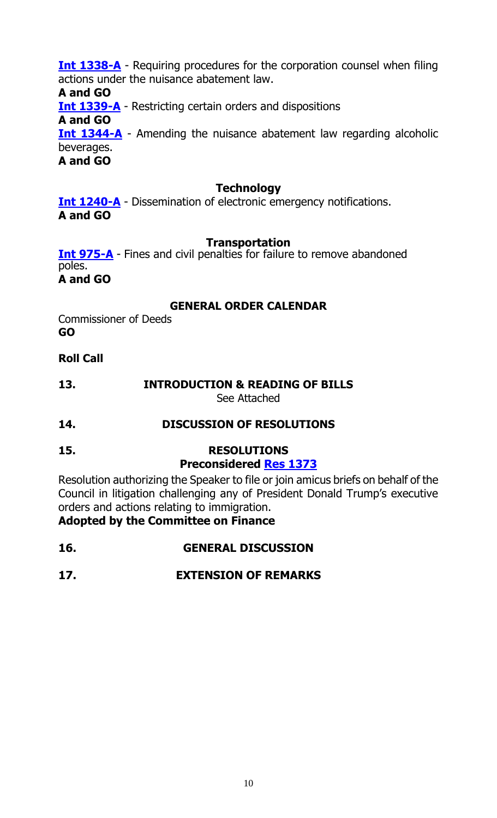**[Int 1338-A](http://legistar.council.nyc.gov/LegislationDetail.aspx?ID=2862677&GUID=D6F35244-5569-4737-A215-B67872C3ECB6&Options=Advanced&Search=)** - Requiring procedures for the corporation counsel when filing actions under the nuisance abatement law. **A and GO [Int 1339-A](http://legistar.council.nyc.gov/LegislationDetail.aspx?ID=2862680&GUID=9B98BB91-81A2-4951-AC81-8863F4B47800&Options=Advanced&Search=)** - Restricting certain orders and dispositions **A and GO [Int 1344-A](http://legistar.council.nyc.gov/LegislationDetail.aspx?ID=2862670&GUID=28DF5FE7-A977-4652-A193-0055EC9322E5&Options=Advanced&Search=)** - Amending the nuisance abatement law regarding alcoholic beverages. **A and GO**

# **Technology**

**[Int 1240-A](http://legistar.council.nyc.gov/LegislationDetail.aspx?ID=2813491&GUID=6CE421E4-2172-4096-8A7F-24B358104731&Options=Advanced&Search=)** - Dissemination of electronic emergency notifications. **A and GO**

# **Transportation**

**[Int 975-A](http://legistar.council.nyc.gov/LegislationDetail.aspx?ID=2505961&GUID=3681BF40-CEBC-45B2-84DD-BF8D2D612D42&Options=Advanced&Search=)** - Fines and civil penalties for failure to remove abandoned poles. **A and GO**

# **GENERAL ORDER CALENDAR**

Commissioner of Deeds **GO**

# **Roll Call**

**13. INTRODUCTION & READING OF BILLS** See Attached

# **14. DISCUSSION OF RESOLUTIONS**

**15. RESOLUTIONS Preconsidered Res [1373](http://legistar.council.nyc.gov/LegislationDetail.aspx?ID=2959033&GUID=EFD93DC5-37DC-4D29-942E-A255230A3A35&Options=ID%7c&Search=)**

Resolution authorizing the Speaker to file or join amicus briefs on behalf of the Council in litigation challenging any of President Donald Trump's executive orders and actions relating to immigration.

**Adopted by the Committee on Finance**

**16. GENERAL DISCUSSION**

# **17. EXTENSION OF REMARKS**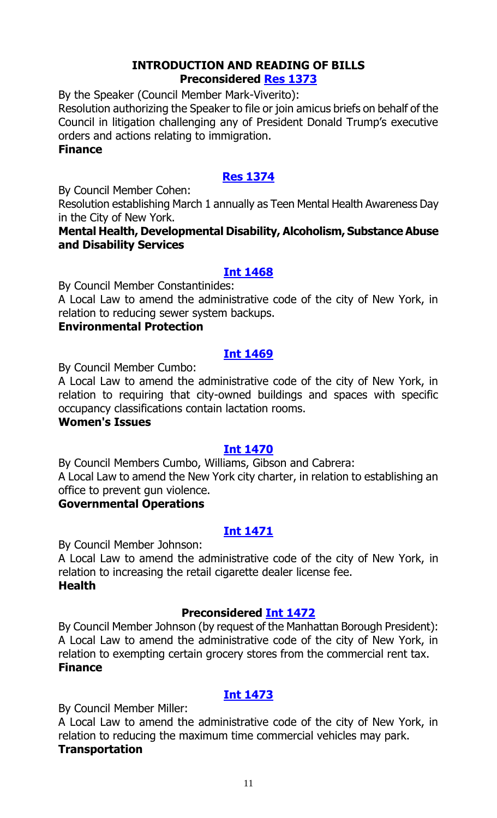#### **INTRODUCTION AND READING OF BILLS Preconsidered [Res 1373](http://legistar.council.nyc.gov/LegislationDetail.aspx?ID=2959033&GUID=EFD93DC5-37DC-4D29-942E-A255230A3A35&Options=ID%7c&Search=)**

By the Speaker (Council Member Mark-Viverito):

Resolution authorizing the Speaker to file or join amicus briefs on behalf of the Council in litigation challenging any of President Donald Trump's executive orders and actions relating to immigration.

#### **Finance**

# **[Res 1374](http://legistar.council.nyc.gov/LegislationDetail.aspx?ID=2961212&GUID=46ADB1F2-227E-46EC-A8E3-0D98B74434AA&Options=ID|&Search=)**

By Council Member Cohen:

Resolution establishing March 1 annually as Teen Mental Health Awareness Day in the City of New York.

# **Mental Health, Developmental Disability, Alcoholism, Substance Abuse and Disability Services**

# **[Int 1468](http://legistar.council.nyc.gov/LegislationDetail.aspx?ID=2961211&GUID=2272A473-5350-45C5-9C35-80E90B207FAD&Options=ID%7c&Search=)**

By Council Member Constantinides:

A Local Law to amend the administrative code of the city of New York, in relation to reducing sewer system backups.

# **Environmental Protection**

# **[Int 1469](http://legistar.council.nyc.gov/LegislationDetail.aspx?ID=2961210&GUID=6218E0E9-D3C8-49DB-9D21-843DB5DDD2A8&Options=ID|&Search=)**

By Council Member Cumbo:

A Local Law to amend the administrative code of the city of New York, in relation to requiring that city-owned buildings and spaces with specific occupancy classifications contain lactation rooms.

# **Women's Issues**

# **[Int 1470](http://legistar.council.nyc.gov/LegislationDetail.aspx?ID=2961209&GUID=9D932E69-1DF9-441C-BD3F-B3F6DD880DF8&Options=ID|&Search=)**

By Council Members Cumbo, Williams, Gibson and Cabrera: A Local Law to amend the New York city charter, in relation to establishing an office to prevent gun violence.

# **Governmental Operations**

# **[Int 1471](http://legistar.council.nyc.gov/LegislationDetail.aspx?ID=2961215&GUID=82169168-A922-4C70-BAC1-BF8E9E835481&Options=ID|&Search=)**

By Council Member Johnson:

A Local Law to amend the administrative code of the city of New York, in relation to increasing the retail cigarette dealer license fee. **Health**

# **Preconsidered [Int 1472](http://legistar.council.nyc.gov/LegislationDetail.aspx?ID=2950119&GUID=94E311D0-3A50-4FAC-AA04-84EF986FEB01&Options=ID|&Search=)**

By Council Member Johnson (by request of the Manhattan Borough President): A Local Law to amend the administrative code of the city of New York, in relation to exempting certain grocery stores from the commercial rent tax. **Finance**

# **[Int 1473](http://legistar.council.nyc.gov/LegislationDetail.aspx?ID=2961216&GUID=4F633109-7D91-41A3-B0A3-F9F40A38D7CE&Options=ID|&Search=)**

By Council Member Miller:

A Local Law to amend the administrative code of the city of New York, in relation to reducing the maximum time commercial vehicles may park. **Transportation**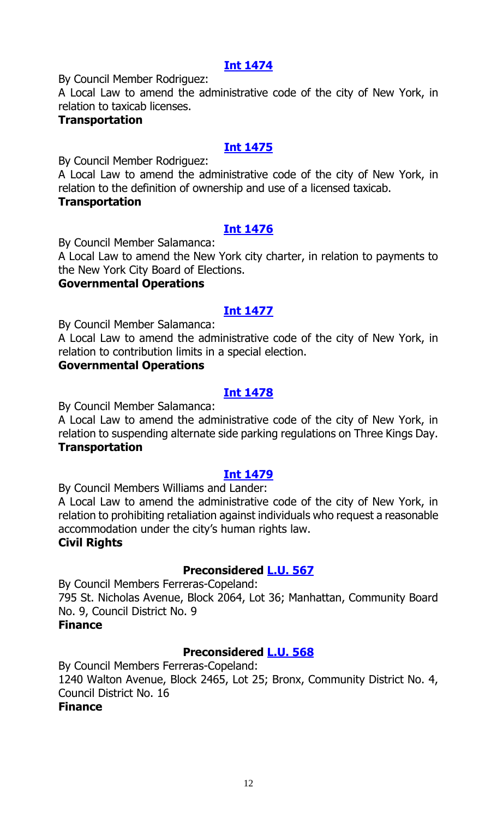# **[Int 1474](http://legistar.council.nyc.gov/LegislationDetail.aspx?ID=2961217&GUID=CBAFAD4C-3CCF-46D1-9C13-4D08918783BC&Options=ID|&Search=)**

By Council Member Rodriguez:

A Local Law to amend the administrative code of the city of New York, in relation to taxicab licenses.

# **Transportation**

# **[Int 1475](http://legistar.council.nyc.gov/LegislationDetail.aspx?ID=2961224&GUID=DC8E43A0-8CBE-45C2-A4C2-A4D27E77192B&Options=ID|&Search=)**

By Council Member Rodriguez:

A Local Law to amend the administrative code of the city of New York, in relation to the definition of ownership and use of a licensed taxicab.

# **Transportation**

# **[Int 1476](http://legistar.council.nyc.gov/LegislationDetail.aspx?ID=2961222&GUID=F29F34D9-4687-4199-AC48-DED867C8115B&Options=ID|&Search=)**

By Council Member Salamanca:

A Local Law to amend the New York city charter, in relation to payments to the New York City Board of Elections.

# **Governmental Operations**

# **[Int 1477](http://legistar.council.nyc.gov/LegislationDetail.aspx?ID=2961223&GUID=7765EC23-9C9C-41C6-A9A3-152F73F01DF4&Options=ID|&Search=)**

By Council Member Salamanca:

A Local Law to amend the administrative code of the city of New York, in relation to contribution limits in a special election.

# **Governmental Operations**

# **[Int 1478](http://legistar.council.nyc.gov/LegislationDetail.aspx?ID=2961227&GUID=22935632-AFF5-45B9-9C35-E26B04ADEA2B&Options=ID|&Search=)**

By Council Member Salamanca:

A Local Law to amend the administrative code of the city of New York, in relation to suspending alternate side parking regulations on Three Kings Day. **Transportation**

#### **[Int 1479](http://legistar.council.nyc.gov/LegislationDetail.aspx?ID=2961228&GUID=F13D4198-3373-459B-971B-7AB032E2AEBC&Options=ID|&Search=)**

By Council Members Williams and Lander:

A Local Law to amend the administrative code of the city of New York, in relation to prohibiting retaliation against individuals who request a reasonable accommodation under the city's human rights law.

# **Civil Rights**

# **Preconsidered [L.U. 567](http://legistar.council.nyc.gov/LegislationDetail.aspx?ID=2955091&GUID=2197BDBC-6671-44E6-9B00-5777167ADBCA&Options=ID%7c&Search=)**

By Council Members Ferreras-Copeland: 795 St. Nicholas Avenue, Block 2064, Lot 36; Manhattan, Community Board No. 9, Council District No. 9

#### **Finance**

# **Preconsidered [L.U. 568](http://legistar.council.nyc.gov/LegislationDetail.aspx?ID=2955102&GUID=B94F43C7-9702-4E4A-8C36-DCECB7F6A866&Options=ID|&Search=)**

By Council Members Ferreras-Copeland: 1240 Walton Avenue, Block 2465, Lot 25; Bronx, Community District No. 4, Council District No. 16 **Finance**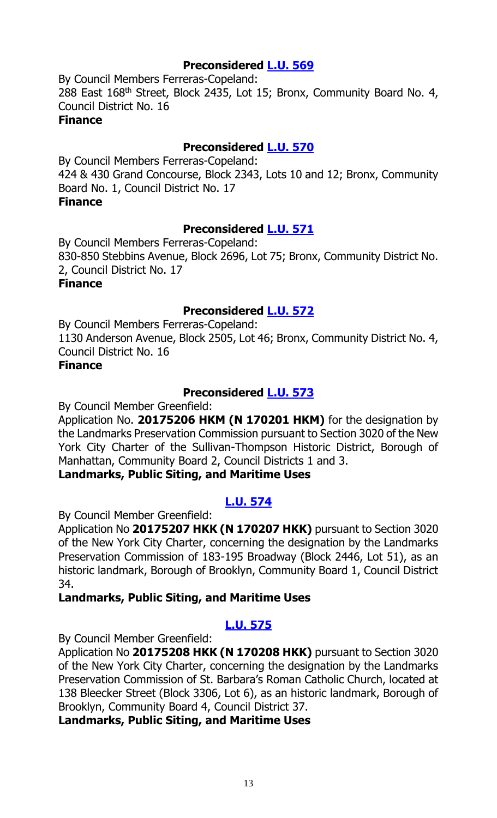# **Preconsidered [L.U. 569](http://legistar.council.nyc.gov/LegislationDetail.aspx?ID=2955434&GUID=28268425-9A17-4908-8759-9D8863111631&Options=ID|&Search=)**

By Council Members Ferreras-Copeland: 288 East 168<sup>th</sup> Street, Block 2435, Lot 15; Bronx, Community Board No. 4, Council District No. 16 **Finance**

# **Preconsidered [L.U. 570](http://legistar.council.nyc.gov/LegislationDetail.aspx?ID=2955438&GUID=3CBB3ECE-F3DF-4FF9-BAD4-F41059A9B217&Options=ID|&Search=)**

By Council Members Ferreras-Copeland: 424 & 430 Grand Concourse, Block 2343, Lots 10 and 12; Bronx, Community Board No. 1, Council District No. 17 **Finance**

# **Preconsidered [L.U. 571](http://legistar.council.nyc.gov/LegislationDetail.aspx?ID=2955450&GUID=6E78B4EC-815B-4AA7-B624-DA3FDAE07369&Options=ID|&Search=)**

By Council Members Ferreras-Copeland: 830-850 Stebbins Avenue, Block 2696, Lot 75; Bronx, Community District No. 2, Council District No. 17 **Finance**

# **Preconsidered [L.U. 572](http://legistar.council.nyc.gov/LegislationDetail.aspx?ID=2955451&GUID=373417AF-AB2D-4086-9434-D1B679DF9404&Options=ID|&Search=)**

By Council Members Ferreras-Copeland: 1130 Anderson Avenue, Block 2505, Lot 46; Bronx, Community District No. 4, Council District No. 16

# **Finance**

# **Preconsidered [L.U. 573](http://legistar.council.nyc.gov/LegislationDetail.aspx?ID=2951191&GUID=D69231A9-FE01-4FF8-B307-E25D1F94206B&Options=ID|&Search=)**

By Council Member Greenfield:

Application No. **20175206 HKM (N 170201 HKM)** for the designation by the Landmarks Preservation Commission pursuant to Section 3020 of the New York City Charter of the Sullivan-Thompson Historic District, Borough of Manhattan, Community Board 2, Council Districts 1 and 3.

# **Landmarks, Public Siting, and Maritime Uses**

# **[L.U. 574](http://legistar.council.nyc.gov/LegislationDetail.aspx?ID=2961279&GUID=4EB2C03E-A0BD-4609-8A8F-D582A4F13365&Options=ID|&Search=)**

By Council Member Greenfield:

Application No **20175207 HKK (N 170207 HKK)** pursuant to Section 3020 of the New York City Charter, concerning the designation by the Landmarks Preservation Commission of 183-195 Broadway (Block 2446, Lot 51), as an historic landmark, Borough of Brooklyn, Community Board 1, Council District 34.

# **Landmarks, Public Siting, and Maritime Uses**

# **[L.U. 575](http://legistar.council.nyc.gov/LegislationDetail.aspx?ID=2961280&GUID=93413B5D-8AB7-4239-A4C5-8AA8AF399C42&Options=ID|&Search=)**

By Council Member Greenfield:

Application No **20175208 HKK (N 170208 HKK)** pursuant to Section 3020 of the New York City Charter, concerning the designation by the Landmarks Preservation Commission of St. Barbara's Roman Catholic Church, located at 138 Bleecker Street (Block 3306, Lot 6), as an historic landmark, Borough of Brooklyn, Community Board 4, Council District 37.

**Landmarks, Public Siting, and Maritime Uses**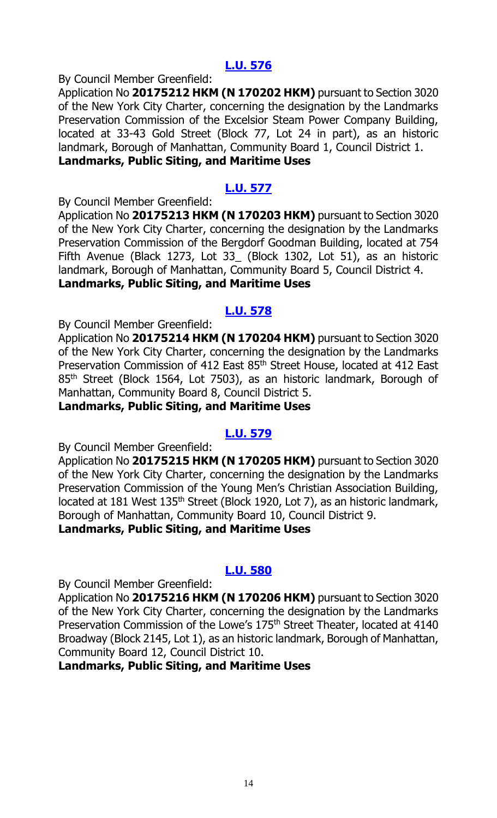# **[L.U. 576](http://legistar.council.nyc.gov/LegislationDetail.aspx?ID=2961281&GUID=4F2C87E5-D39A-4C86-B82D-D8A747993828&Options=ID|&Search=)**

By Council Member Greenfield:

Application No **20175212 HKM (N 170202 HKM)** pursuant to Section 3020 of the New York City Charter, concerning the designation by the Landmarks Preservation Commission of the Excelsior Steam Power Company Building, located at 33-43 Gold Street (Block 77, Lot 24 in part), as an historic landmark, Borough of Manhattan, Community Board 1, Council District 1. **Landmarks, Public Siting, and Maritime Uses**

# **[L.U. 577](http://legistar.council.nyc.gov/LegislationDetail.aspx?ID=2961282&GUID=E7BB6B12-2E03-441A-B853-6E5583FD14FA&Options=ID|&Search=)**

By Council Member Greenfield:

Application No **20175213 HKM (N 170203 HKM)** pursuant to Section 3020 of the New York City Charter, concerning the designation by the Landmarks Preservation Commission of the Bergdorf Goodman Building, located at 754 Fifth Avenue (Black 1273, Lot 33\_ (Block 1302, Lot 51), as an historic landmark, Borough of Manhattan, Community Board 5, Council District 4. **Landmarks, Public Siting, and Maritime Uses**

# **[L.U. 578](http://legistar.council.nyc.gov/LegislationDetail.aspx?ID=2961283&GUID=0C23E3E9-175A-4D64-99F0-19EC03149112&Options=ID|&Search=)**

By Council Member Greenfield:

Application No **20175214 HKM (N 170204 HKM)** pursuant to Section 3020 of the New York City Charter, concerning the designation by the Landmarks Preservation Commission of 412 East 85<sup>th</sup> Street House, located at 412 East 85<sup>th</sup> Street (Block 1564, Lot 7503), as an historic landmark, Borough of Manhattan, Community Board 8, Council District 5.

**Landmarks, Public Siting, and Maritime Uses**

# **[L.U. 579](http://legistar.council.nyc.gov/LegislationDetail.aspx?ID=2961284&GUID=147821E9-6D15-4AC2-8B40-012D53781663&Options=ID|&Search=)**

By Council Member Greenfield:

Application No **20175215 HKM (N 170205 HKM)** pursuant to Section 3020 of the New York City Charter, concerning the designation by the Landmarks Preservation Commission of the Young Men's Christian Association Building, located at 181 West 135<sup>th</sup> Street (Block 1920, Lot 7), as an historic landmark, Borough of Manhattan, Community Board 10, Council District 9. **Landmarks, Public Siting, and Maritime Uses**

# **[L.U. 580](http://legistar.council.nyc.gov/LegislationDetail.aspx?ID=2961285&GUID=4DFE2257-149E-47DC-8C87-B0E5769E43EC&Options=ID|&Search=)**

By Council Member Greenfield:

Application No **20175216 HKM (N 170206 HKM)** pursuant to Section 3020 of the New York City Charter, concerning the designation by the Landmarks Preservation Commission of the Lowe's 175<sup>th</sup> Street Theater, located at 4140 Broadway (Block 2145, Lot 1), as an historic landmark, Borough of Manhattan, Community Board 12, Council District 10.

**Landmarks, Public Siting, and Maritime Uses**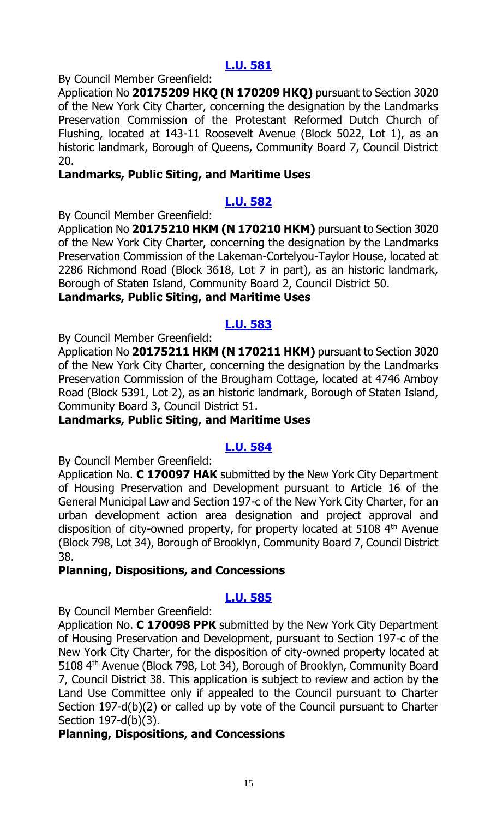# **[L.U. 581](http://legistar.council.nyc.gov/LegislationDetail.aspx?ID=2961286&GUID=D2E5B82C-9FFD-4858-897C-B029E3BA257A&Options=ID|&Search=)**

By Council Member Greenfield:

Application No **20175209 HKQ (N 170209 HKQ)** pursuant to Section 3020 of the New York City Charter, concerning the designation by the Landmarks Preservation Commission of the Protestant Reformed Dutch Church of Flushing, located at 143-11 Roosevelt Avenue (Block 5022, Lot 1), as an historic landmark, Borough of Queens, Community Board 7, Council District 20.

# **Landmarks, Public Siting, and Maritime Uses**

# **[L.U. 582](http://legistar.council.nyc.gov/LegislationDetail.aspx?ID=2961287&GUID=83548C67-BDA4-4517-8F27-A2655477C0BB&Options=ID|&Search=)**

By Council Member Greenfield:

Application No **20175210 HKM (N 170210 HKM)** pursuant to Section 3020 of the New York City Charter, concerning the designation by the Landmarks Preservation Commission of the Lakeman-Cortelyou-Taylor House, located at 2286 Richmond Road (Block 3618, Lot 7 in part), as an historic landmark, Borough of Staten Island, Community Board 2, Council District 50.

# **Landmarks, Public Siting, and Maritime Uses**

# **[L.U. 583](http://legistar.council.nyc.gov/LegislationDetail.aspx?ID=2961288&GUID=4EC46689-C6F3-4DA3-B486-780A6407D4CE&Options=ID|&Search=)**

By Council Member Greenfield:

Application No **20175211 HKM (N 170211 HKM)** pursuant to Section 3020 of the New York City Charter, concerning the designation by the Landmarks Preservation Commission of the Brougham Cottage, located at 4746 Amboy Road (Block 5391, Lot 2), as an historic landmark, Borough of Staten Island, Community Board 3, Council District 51.

# **Landmarks, Public Siting, and Maritime Uses**

# **[L.U. 584](http://legistar.council.nyc.gov/LegislationDetail.aspx?ID=2961289&GUID=635CD2A3-1532-4970-B8E4-802E18F10659&Options=ID|&Search=)**

By Council Member Greenfield:

Application No. **C 170097 HAK** submitted by the New York City Department of Housing Preservation and Development pursuant to Article 16 of the General Municipal Law and Section 197-c of the New York City Charter, for an urban development action area designation and project approval and disposition of city-owned property, for property located at  $5108$   $4<sup>th</sup>$  Avenue (Block 798, Lot 34), Borough of Brooklyn, Community Board 7, Council District 38.

# **Planning, Dispositions, and Concessions**

# **[L.U. 585](http://legistar.council.nyc.gov/LegislationDetail.aspx?ID=2961290&GUID=A1ED10E9-3869-46F3-9C7E-663656448601&Options=ID|&Search=)**

By Council Member Greenfield:

Application No. **C 170098 PPK** submitted by the New York City Department of Housing Preservation and Development, pursuant to Section 197-c of the New York City Charter, for the disposition of city-owned property located at 5108 4th Avenue (Block 798, Lot 34), Borough of Brooklyn, Community Board 7, Council District 38. This application is subject to review and action by the Land Use Committee only if appealed to the Council pursuant to Charter Section 197-d(b)(2) or called up by vote of the Council pursuant to Charter Section 197-d(b)(3).

# **Planning, Dispositions, and Concessions**